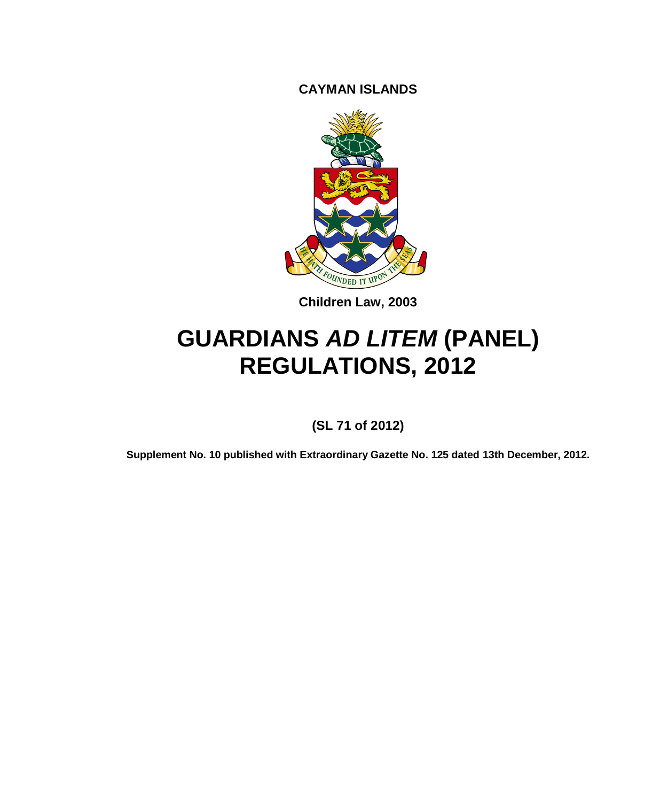**CAYMAN ISLANDS**



**Children Law, 2003**

# **GUARDIANS** *AD LITEM* **(PANEL) REGULATIONS, 2012**

**(SL 71 of 2012)**

**Supplement No. 10 published with Extraordinary Gazette No. 125 dated 13th December, 2012.**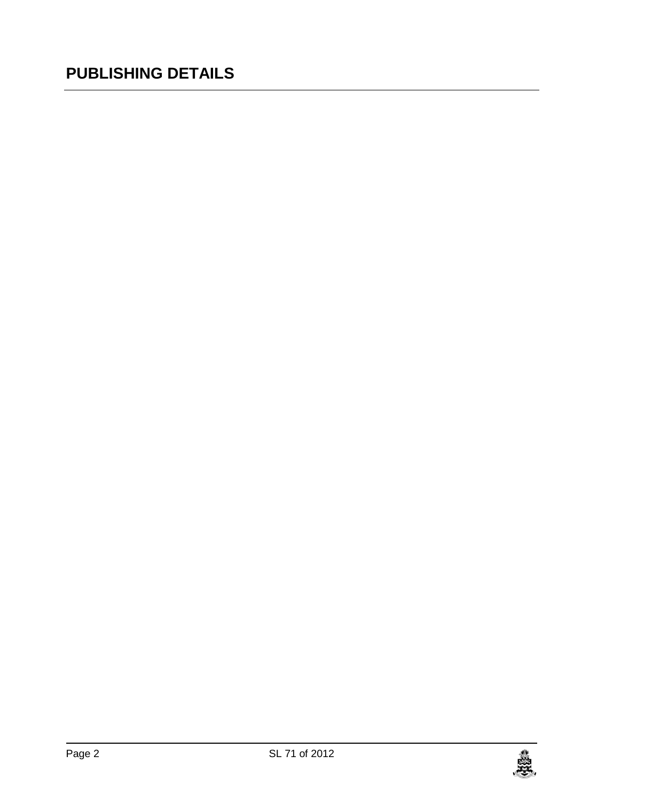## **PUBLISHING DETAILS**

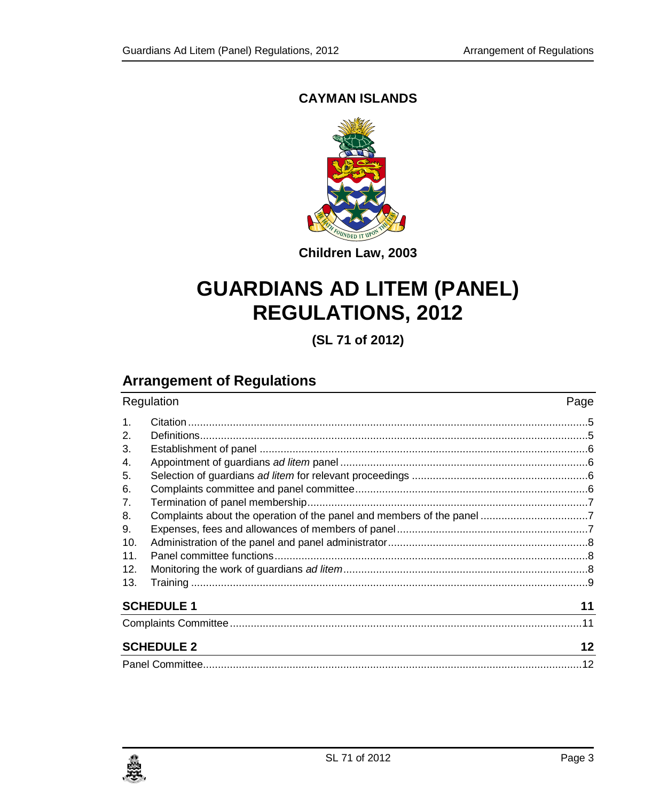#### **CAYMAN ISLANDS**



**Children Law, 2003**

# **GUARDIANS AD LITEM (PANEL) REGULATIONS, 2012**

**(SL 71 of 2012)**

## **Arrangement of Regulations**

| Regulation     |                                                                                 | Page |
|----------------|---------------------------------------------------------------------------------|------|
| $\mathbf{1}$ . |                                                                                 |      |
| 2 <sub>1</sub> |                                                                                 |      |
| 3.             |                                                                                 |      |
| 4.             |                                                                                 |      |
| 5.             |                                                                                 |      |
| 6.             |                                                                                 |      |
| 7.             |                                                                                 |      |
| 8.             |                                                                                 |      |
| 9.             |                                                                                 |      |
| 10.            |                                                                                 |      |
| 11.            |                                                                                 |      |
| 12.            |                                                                                 |      |
| 13.            |                                                                                 |      |
|                | <b>SCHEDULE 1</b>                                                               | 11   |
|                |                                                                                 |      |
|                | <b>SCHEDULE 2</b><br><u> 1989 - Johann Stoff, amerikansk politiker (* 1908)</u> | 12   |
|                |                                                                                 |      |

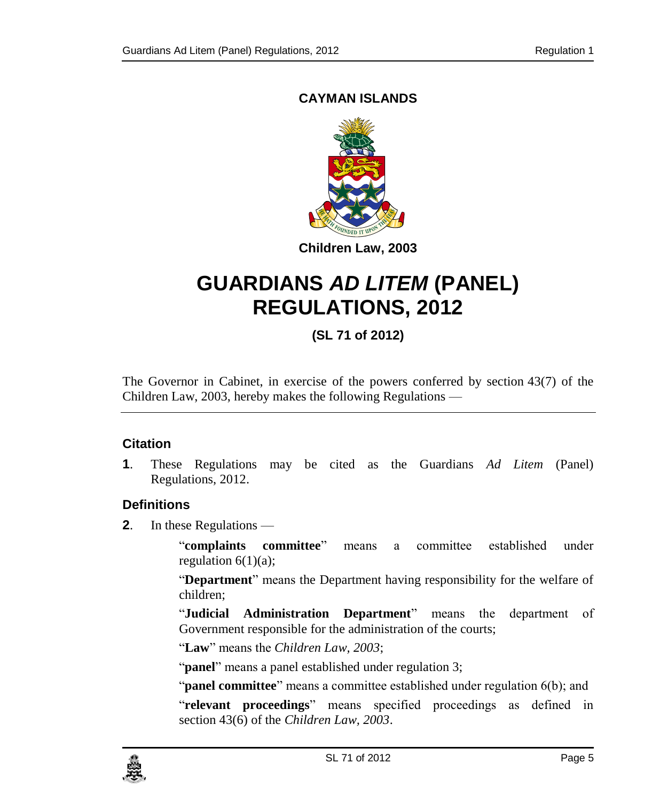#### **CAYMAN ISLANDS**



# **GUARDIANS** *AD LITEM* **(PANEL) REGULATIONS, 2012**

### **(SL 71 of 2012)**

The Governor in Cabinet, in exercise of the powers conferred by section 43(7) of the Children Law, 2003, hereby makes the following Regulations —

#### <span id="page-4-0"></span>**1. Citation**

**1**. These Regulations may be cited as the Guardians *Ad Litem* (Panel) Regulations, 2012.

#### <span id="page-4-1"></span>**2. Definitions**

**2**. In these Regulations —

"**complaints committee**" means a committee established under regulation  $6(1)(a)$ ;

"**Department**" means the Department having responsibility for the welfare of children;

"**Judicial Administration Department**" means the department of Government responsible for the administration of the courts;

"**Law**" means the *Children Law, 2003*;

"**panel**" means a panel established under regulation 3;

"**panel committee**" means a committee established under regulation 6(b); and

"**relevant proceedings**" means specified proceedings as defined in section 43(6) of the *Children Law, 2003*.

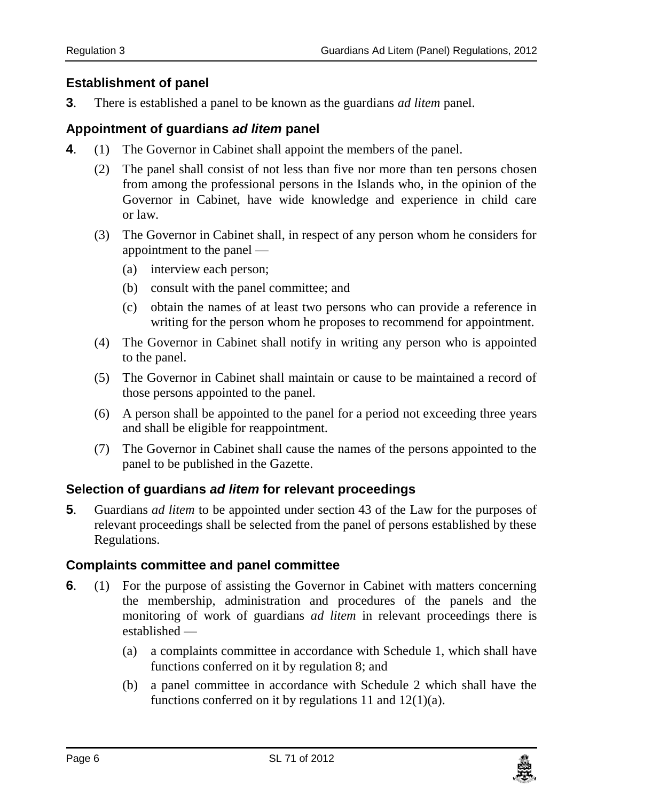#### <span id="page-5-0"></span>**3. Establishment of panel**

**3**. There is established a panel to be known as the guardians *ad litem* panel.

#### <span id="page-5-1"></span>**4. Appointment of guardians** *ad litem* **panel**

- **4**. (1) The Governor in Cabinet shall appoint the members of the panel.
	- (2) The panel shall consist of not less than five nor more than ten persons chosen from among the professional persons in the Islands who, in the opinion of the Governor in Cabinet, have wide knowledge and experience in child care or law.
	- (3) The Governor in Cabinet shall, in respect of any person whom he considers for appointment to the panel —
		- (a) interview each person;
		- (b) consult with the panel committee; and
		- (c) obtain the names of at least two persons who can provide a reference in writing for the person whom he proposes to recommend for appointment.
	- (4) The Governor in Cabinet shall notify in writing any person who is appointed to the panel.
	- (5) The Governor in Cabinet shall maintain or cause to be maintained a record of those persons appointed to the panel.
	- (6) A person shall be appointed to the panel for a period not exceeding three years and shall be eligible for reappointment.
	- (7) The Governor in Cabinet shall cause the names of the persons appointed to the panel to be published in the Gazette.

#### <span id="page-5-2"></span>**5. Selection of guardians** *ad litem* **for relevant proceedings**

**5**. Guardians *ad litem* to be appointed under section 43 of the Law for the purposes of relevant proceedings shall be selected from the panel of persons established by these Regulations.

#### <span id="page-5-3"></span>**6. Complaints committee and panel committee**

- **6.** (1) For the purpose of assisting the Governor in Cabinet with matters concerning the membership, administration and procedures of the panels and the monitoring of work of guardians *ad litem* in relevant proceedings there is established —
	- (a) a complaints committee in accordance with Schedule 1, which shall have functions conferred on it by regulation 8; and
	- (b) a panel committee in accordance with Schedule 2 which shall have the functions conferred on it by regulations 11 and  $12(1)(a)$ .

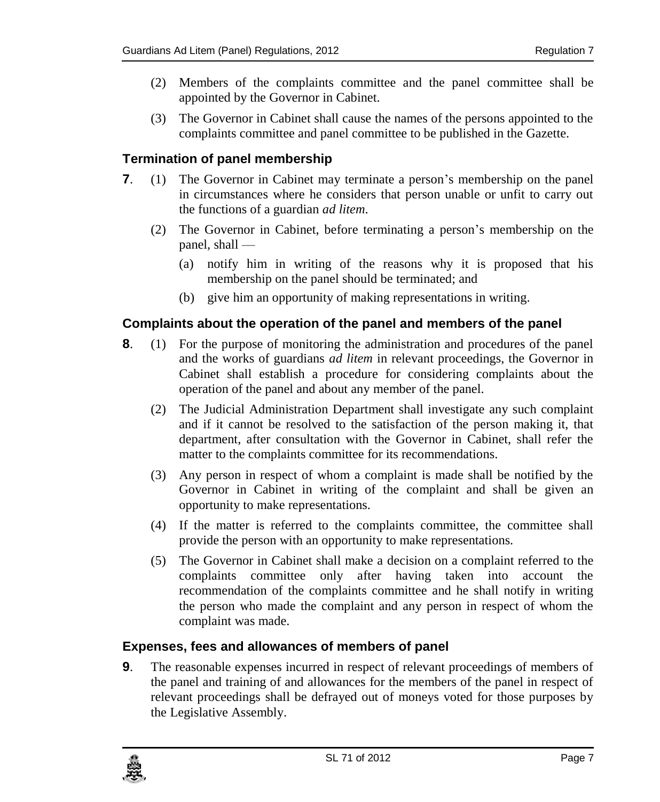- (2) Members of the complaints committee and the panel committee shall be appointed by the Governor in Cabinet.
- (3) The Governor in Cabinet shall cause the names of the persons appointed to the complaints committee and panel committee to be published in the Gazette.

#### <span id="page-6-0"></span>**7. Termination of panel membership**

- **7**. (1) The Governor in Cabinet may terminate a person's membership on the panel in circumstances where he considers that person unable or unfit to carry out the functions of a guardian *ad litem*.
	- (2) The Governor in Cabinet, before terminating a person's membership on the panel, shall —
		- (a) notify him in writing of the reasons why it is proposed that his membership on the panel should be terminated; and
		- (b) give him an opportunity of making representations in writing.

#### <span id="page-6-1"></span>**8. Complaints about the operation of the panel and members of the panel**

- **8**. (1) For the purpose of monitoring the administration and procedures of the panel and the works of guardians *ad litem* in relevant proceedings, the Governor in Cabinet shall establish a procedure for considering complaints about the operation of the panel and about any member of the panel.
	- (2) The Judicial Administration Department shall investigate any such complaint and if it cannot be resolved to the satisfaction of the person making it, that department, after consultation with the Governor in Cabinet, shall refer the matter to the complaints committee for its recommendations.
	- (3) Any person in respect of whom a complaint is made shall be notified by the Governor in Cabinet in writing of the complaint and shall be given an opportunity to make representations.
	- (4) If the matter is referred to the complaints committee, the committee shall provide the person with an opportunity to make representations.
	- (5) The Governor in Cabinet shall make a decision on a complaint referred to the complaints committee only after having taken into account the recommendation of the complaints committee and he shall notify in writing the person who made the complaint and any person in respect of whom the complaint was made.

#### <span id="page-6-2"></span>**9. Expenses, fees and allowances of members of panel**

**9**. The reasonable expenses incurred in respect of relevant proceedings of members of the panel and training of and allowances for the members of the panel in respect of relevant proceedings shall be defrayed out of moneys voted for those purposes by the Legislative Assembly.

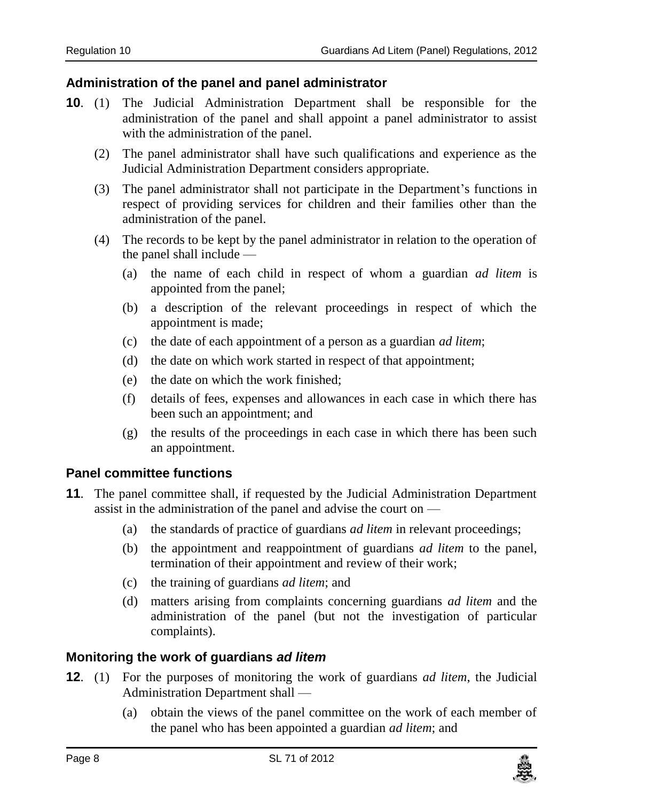#### <span id="page-7-0"></span>**10. Administration of the panel and panel administrator**

- **10**. (1) The Judicial Administration Department shall be responsible for the administration of the panel and shall appoint a panel administrator to assist with the administration of the panel.
	- (2) The panel administrator shall have such qualifications and experience as the Judicial Administration Department considers appropriate.
	- (3) The panel administrator shall not participate in the Department's functions in respect of providing services for children and their families other than the administration of the panel.
	- (4) The records to be kept by the panel administrator in relation to the operation of the panel shall include —
		- (a) the name of each child in respect of whom a guardian *ad litem* is appointed from the panel;
		- (b) a description of the relevant proceedings in respect of which the appointment is made;
		- (c) the date of each appointment of a person as a guardian *ad litem*;
		- (d) the date on which work started in respect of that appointment;
		- (e) the date on which the work finished;
		- (f) details of fees, expenses and allowances in each case in which there has been such an appointment; and
		- (g) the results of the proceedings in each case in which there has been such an appointment.

#### <span id="page-7-1"></span>**11. Panel committee functions**

- **11**. The panel committee shall, if requested by the Judicial Administration Department assist in the administration of the panel and advise the court on —
	- (a) the standards of practice of guardians *ad litem* in relevant proceedings;
	- (b) the appointment and reappointment of guardians *ad litem* to the panel, termination of their appointment and review of their work;
	- (c) the training of guardians *ad litem*; and
	- (d) matters arising from complaints concerning guardians *ad litem* and the administration of the panel (but not the investigation of particular complaints).

#### <span id="page-7-2"></span>**12. Monitoring the work of guardians** *ad litem*

- **12**. (1) For the purposes of monitoring the work of guardians *ad litem*, the Judicial Administration Department shall —
	- (a) obtain the views of the panel committee on the work of each member of the panel who has been appointed a guardian *ad litem*; and

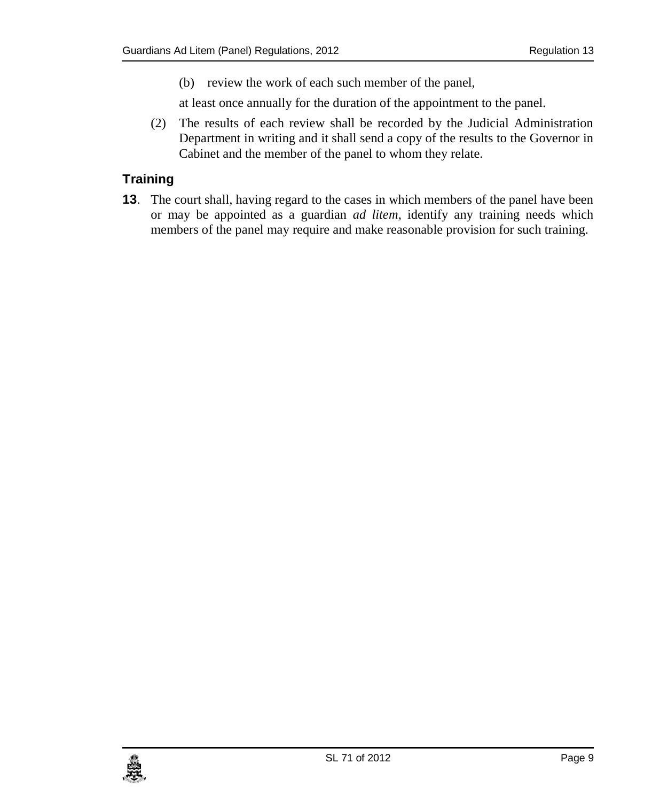(b) review the work of each such member of the panel,

at least once annually for the duration of the appointment to the panel.

(2) The results of each review shall be recorded by the Judicial Administration Department in writing and it shall send a copy of the results to the Governor in Cabinet and the member of the panel to whom they relate.

#### <span id="page-8-0"></span>**13. Training**

**13**. The court shall, having regard to the cases in which members of the panel have been or may be appointed as a guardian *ad litem*, identify any training needs which members of the panel may require and make reasonable provision for such training.

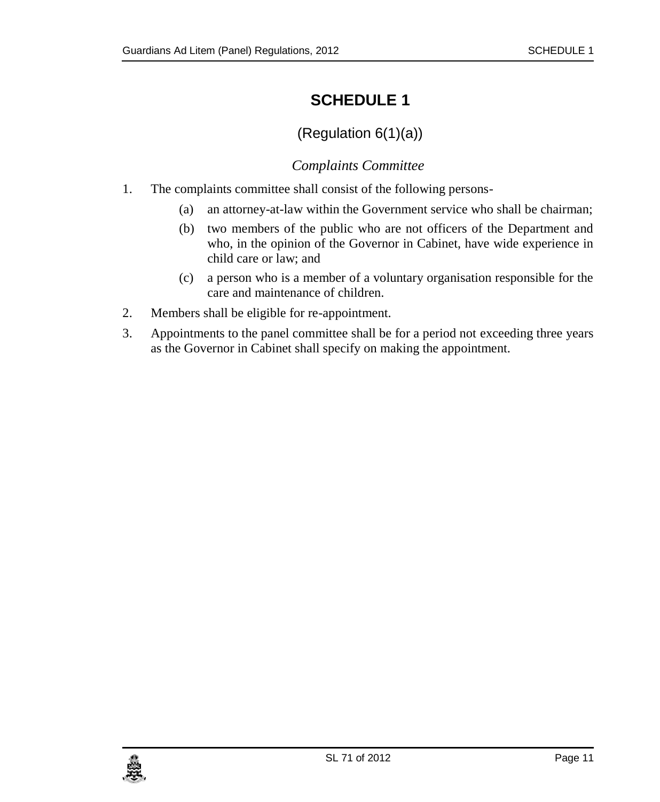## <span id="page-10-0"></span>**SCHEDULE 1**

## (Regulation 6(1)(a))

### *Complaints Committee*

- <span id="page-10-1"></span>1. The complaints committee shall consist of the following persons-
	- (a) an attorney-at-law within the Government service who shall be chairman;
	- (b) two members of the public who are not officers of the Department and who, in the opinion of the Governor in Cabinet, have wide experience in child care or law; and
	- (c) a person who is a member of a voluntary organisation responsible for the care and maintenance of children.
- 2. Members shall be eligible for re-appointment.
- 3. Appointments to the panel committee shall be for a period not exceeding three years as the Governor in Cabinet shall specify on making the appointment.